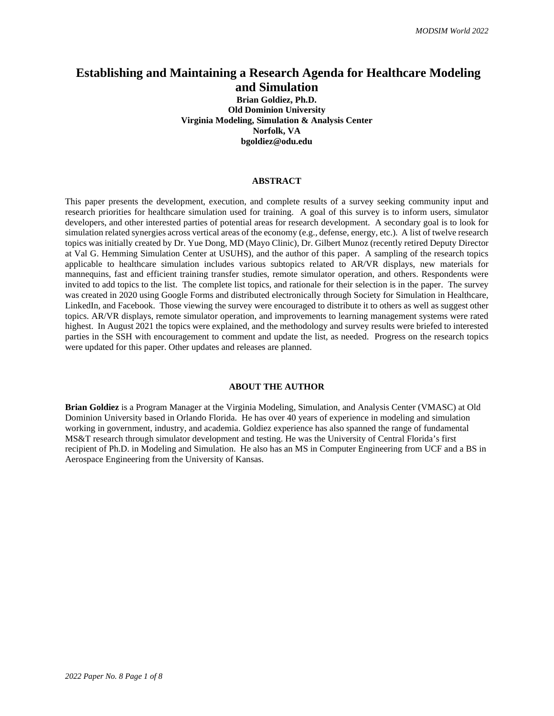# **Establishing and Maintaining a Research Agenda for Healthcare Modeling and Simulation**

**Brian Goldiez, Ph.D. Old Dominion University Virginia Modeling, Simulation & Analysis Center Norfolk, VA bgoldiez@odu.edu**

#### **ABSTRACT**

This paper presents the development, execution, and complete results of a survey seeking community input and research priorities for healthcare simulation used for training. A goal of this survey is to inform users, simulator developers, and other interested parties of potential areas for research development. A secondary goal is to look for simulation related synergies across vertical areas of the economy (e.g., defense, energy, etc.). A list of twelve research topics was initially created by Dr. Yue Dong, MD (Mayo Clinic), Dr. Gilbert Munoz (recently retired Deputy Director at Val G. Hemming Simulation Center at USUHS), and the author of this paper. A sampling of the research topics applicable to healthcare simulation includes various subtopics related to AR/VR displays, new materials for mannequins, fast and efficient training transfer studies, remote simulator operation, and others. Respondents were invited to add topics to the list. The complete list topics, and rationale for their selection is in the paper. The survey was created in 2020 using Google Forms and distributed electronically through Society for Simulation in Healthcare, LinkedIn, and Facebook. Those viewing the survey were encouraged to distribute it to others as well as suggest other topics. AR/VR displays, remote simulator operation, and improvements to learning management systems were rated highest. In August 2021 the topics were explained, and the methodology and survey results were briefed to interested parties in the SSH with encouragement to comment and update the list, as needed. Progress on the research topics were updated for this paper. Other updates and releases are planned.

#### **ABOUT THE AUTHOR**

**Brian Goldiez** is a Program Manager at the Virginia Modeling, Simulation, and Analysis Center (VMASC) at Old Dominion University based in Orlando Florida. He has over 40 years of experience in modeling and simulation working in government, industry, and academia. Goldiez experience has also spanned the range of fundamental MS&T research through simulator development and testing. He was the University of Central Florida's first recipient of Ph.D. in Modeling and Simulation. He also has an MS in Computer Engineering from UCF and a BS in Aerospace Engineering from the University of Kansas.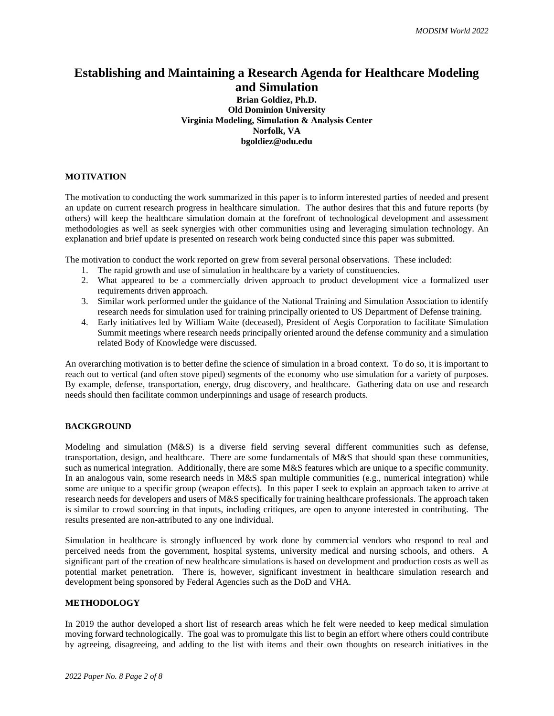# **Establishing and Maintaining a Research Agenda for Healthcare Modeling and Simulation**

**Brian Goldiez, Ph.D. Old Dominion University Virginia Modeling, Simulation & Analysis Center Norfolk, VA bgoldiez@odu.edu**

## **MOTIVATION**

The motivation to conducting the work summarized in this paper is to inform interested parties of needed and present an update on current research progress in healthcare simulation. The author desires that this and future reports (by others) will keep the healthcare simulation domain at the forefront of technological development and assessment methodologies as well as seek synergies with other communities using and leveraging simulation technology. An explanation and brief update is presented on research work being conducted since this paper was submitted.

The motivation to conduct the work reported on grew from several personal observations. These included:

- 1. The rapid growth and use of simulation in healthcare by a variety of constituencies.
- 2. What appeared to be a commercially driven approach to product development vice a formalized user requirements driven approach.
- 3. Similar work performed under the guidance of the National Training and Simulation Association to identify research needs for simulation used for training principally oriented to US Department of Defense training.
- 4. Early initiatives led by William Waite (deceased), President of Aegis Corporation to facilitate Simulation Summit meetings where research needs principally oriented around the defense community and a simulation related Body of Knowledge were discussed.

An overarching motivation is to better define the science of simulation in a broad context. To do so, it is important to reach out to vertical (and often stove piped) segments of the economy who use simulation for a variety of purposes. By example, defense, transportation, energy, drug discovery, and healthcare. Gathering data on use and research needs should then facilitate common underpinnings and usage of research products.

#### **BACKGROUND**

Modeling and simulation (M&S) is a diverse field serving several different communities such as defense, transportation, design, and healthcare. There are some fundamentals of M&S that should span these communities, such as numerical integration. Additionally, there are some M&S features which are unique to a specific community. In an analogous vain, some research needs in M&S span multiple communities (e.g., numerical integration) while some are unique to a specific group (weapon effects). In this paper I seek to explain an approach taken to arrive at research needs for developers and users of M&S specifically for training healthcare professionals. The approach taken is similar to crowd sourcing in that inputs, including critiques, are open to anyone interested in contributing. The results presented are non-attributed to any one individual.

Simulation in healthcare is strongly influenced by work done by commercial vendors who respond to real and perceived needs from the government, hospital systems, university medical and nursing schools, and others. A significant part of the creation of new healthcare simulations is based on development and production costs as well as potential market penetration. There is, however, significant investment in healthcare simulation research and development being sponsored by Federal Agencies such as the DoD and VHA.

#### **METHODOLOGY**

In 2019 the author developed a short list of research areas which he felt were needed to keep medical simulation moving forward technologically. The goal was to promulgate this list to begin an effort where others could contribute by agreeing, disagreeing, and adding to the list with items and their own thoughts on research initiatives in the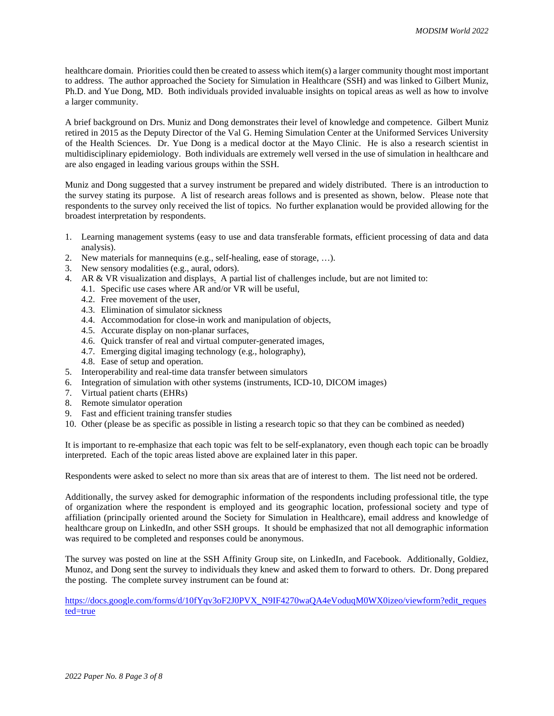healthcare domain. Priorities could then be created to assess which item(s) a larger community thought most important to address. The author approached the Society for Simulation in Healthcare (SSH) and was linked to Gilbert Muniz, Ph.D. and Yue Dong, MD. Both individuals provided invaluable insights on topical areas as well as how to involve a larger community.

A brief background on Drs. Muniz and Dong demonstrates their level of knowledge and competence. Gilbert Muniz retired in 2015 as the Deputy Director of the Val G. Heming Simulation Center at the Uniformed Services University of the Health Sciences. Dr. Yue Dong is a medical doctor at the Mayo Clinic. He is also a research scientist in multidisciplinary epidemiology. Both individuals are extremely well versed in the use of simulation in healthcare and are also engaged in leading various groups within the SSH.

Muniz and Dong suggested that a survey instrument be prepared and widely distributed. There is an introduction to the survey stating its purpose. A list of research areas follows and is presented as shown, below. Please note that respondents to the survey only received the list of topics. No further explanation would be provided allowing for the broadest interpretation by respondents.

- 1. Learning management systems (easy to use and data transferable formats, efficient processing of data and data analysis).
- 2. New materials for mannequins (e.g., self-healing, ease of storage, …).
- 3. New sensory modalities (e.g., aural, odors).
- 4. AR & VR visualization and displays. A partial list of challenges include, but are not limited to:
	- 4.1. Specific use cases where AR and/or VR will be useful,
	- 4.2. Free movement of the user,
	- 4.3. Elimination of simulator sickness
	- 4.4. Accommodation for close-in work and manipulation of objects,
	- 4.5. Accurate display on non-planar surfaces,
	- 4.6. Quick transfer of real and virtual computer-generated images,
	- 4.7. Emerging digital imaging technology (e.g., holography),
	- 4.8. Ease of setup and operation.
- 5. Interoperability and real-time data transfer between simulators
- 6. Integration of simulation with other systems (instruments, ICD-10, DICOM images)
- 7. Virtual patient charts (EHRs)
- 8. Remote simulator operation
- 9. Fast and efficient training transfer studies
- 10. Other (please be as specific as possible in listing a research topic so that they can be combined as needed)

It is important to re-emphasize that each topic was felt to be self-explanatory, even though each topic can be broadly interpreted. Each of the topic areas listed above are explained later in this paper.

Respondents were asked to select no more than six areas that are of interest to them. The list need not be ordered.

Additionally, the survey asked for demographic information of the respondents including professional title, the type of organization where the respondent is employed and its geographic location, professional society and type of affiliation (principally oriented around the Society for Simulation in Healthcare), email address and knowledge of healthcare group on LinkedIn, and other SSH groups. It should be emphasized that not all demographic information was required to be completed and responses could be anonymous.

The survey was posted on line at the SSH Affinity Group site, on LinkedIn, and Facebook. Additionally, Goldiez, Munoz, and Dong sent the survey to individuals they knew and asked them to forward to others. Dr. Dong prepared the posting. The complete survey instrument can be found at:

https://docs.google.com/forms/d/10fYqv3oF2J0PVX\_N9IF4270waOA4eVoduqM0WX0izeo/viewform?edit\_reques [ted=true](https://docs.google.com/forms/d/10fYqv3oF2J0PVX_N9IF4270waQA4eVoduqM0WX0izeo/viewform?edit_requested=true)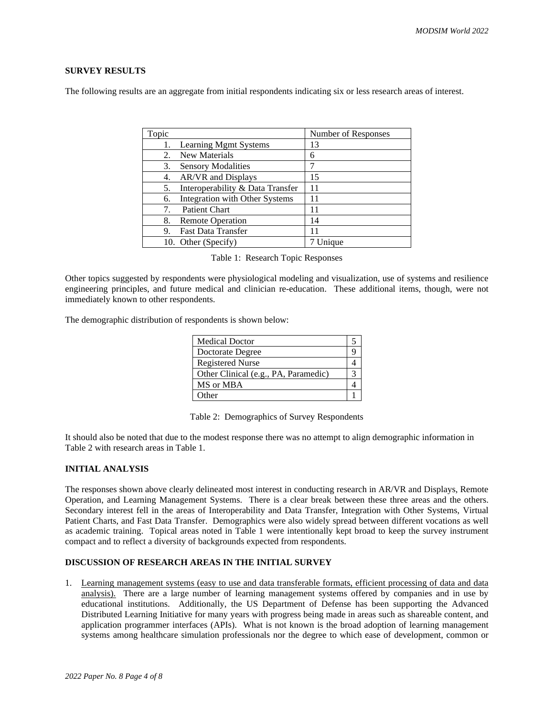# **SURVEY RESULTS**

The following results are an aggregate from initial respondents indicating six or less research areas of interest.

| Topic |                                  | Number of Responses |
|-------|----------------------------------|---------------------|
| 1.    | Learning Mgmt Systems            | 13                  |
| 2.    | New Materials                    | 6                   |
| 3.    | <b>Sensory Modalities</b>        |                     |
| 4.    | AR/VR and Displays               | 15                  |
| 5.    | Interoperability & Data Transfer | 11                  |
| 6.    | Integration with Other Systems   | 11                  |
| 7.    | <b>Patient Chart</b>             | 11                  |
| 8.    | <b>Remote Operation</b>          | 14                  |
| 9.    | <b>Fast Data Transfer</b>        | 11                  |
|       | 10. Other (Specify)              | Unique              |

| Table 1: Research Topic Responses |  |  |  |
|-----------------------------------|--|--|--|
|-----------------------------------|--|--|--|

Other topics suggested by respondents were physiological modeling and visualization, use of systems and resilience engineering principles, and future medical and clinician re-education. These additional items, though, were not immediately known to other respondents.

The demographic distribution of respondents is shown below:

| <b>Medical Doctor</b>                |  |
|--------------------------------------|--|
| Doctorate Degree                     |  |
| <b>Registered Nurse</b>              |  |
| Other Clinical (e.g., PA, Paramedic) |  |
| MS or MBA                            |  |
| <b>Other</b>                         |  |

Table 2: Demographics of Survey Respondents

It should also be noted that due to the modest response there was no attempt to align demographic information in Table 2 with research areas in Table 1.

# **INITIAL ANALYSIS**

The responses shown above clearly delineated most interest in conducting research in AR/VR and Displays, Remote Operation, and Learning Management Systems. There is a clear break between these three areas and the others. Secondary interest fell in the areas of Interoperability and Data Transfer, Integration with Other Systems, Virtual Patient Charts, and Fast Data Transfer. Demographics were also widely spread between different vocations as well as academic training. Topical areas noted in Table 1 were intentionally kept broad to keep the survey instrument compact and to reflect a diversity of backgrounds expected from respondents.

### **DISCUSSION OF RESEARCH AREAS IN THE INITIAL SURVEY**

1. Learning management systems (easy to use and data transferable formats, efficient processing of data and data analysis). There are a large number of learning management systems offered by companies and in use by educational institutions. Additionally, the US Department of Defense has been supporting the Advanced Distributed Learning Initiative for many years with progress being made in areas such as shareable content, and application programmer interfaces (APIs). What is not known is the broad adoption of learning management systems among healthcare simulation professionals nor the degree to which ease of development, common or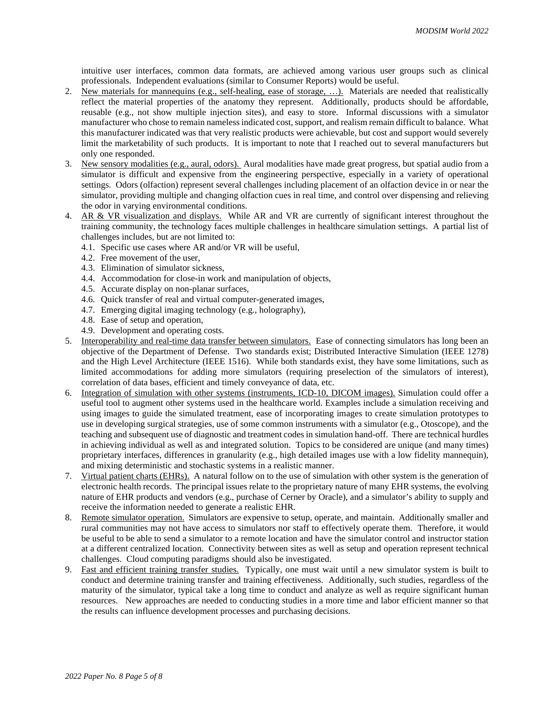intuitive user interfaces, common data formats, are achieved among various user groups such as clinical professionals. Independent evaluations (similar to Consumer Reports) would be useful.

- 2. New materials for mannequins (e.g., self-healing, ease of storage, ...). Materials are needed that realistically reflect the material properties of the anatomy they represent. Additionally, products should be affordable, reusable (e.g., not show multiple injection sites), and easy to store. Informal discussions with a simulator manufacturer who chose to remain namelessindicated cost, support, and realism remain difficult to balance. What this manufacturer indicated was that very realistic products were achievable, but cost and support would severely limit the marketability of such products. It is important to note that I reached out to several manufacturers but only one responded.
- 3. New sensory modalities (e.g., aural, odors). Aural modalities have made great progress, but spatial audio from a simulator is difficult and expensive from the engineering perspective, especially in a variety of operational settings. Odors (olfaction) represent several challenges including placement of an olfaction device in or near the simulator, providing multiple and changing olfaction cues in real time, and control over dispensing and relieving the odor in varying environmental conditions.
- 4. AR & VR visualization and displays. While AR and VR are currently of significant interest throughout the training community, the technology faces multiple challenges in healthcare simulation settings. A partial list of challenges includes, but are not limited to:
	- 4.1. Specific use cases where AR and/or VR will be useful,
	- 4.2. Free movement of the user,
	- 4.3. Elimination of simulator sickness,
	- 4.4. Accommodation for close-in work and manipulation of objects,
	- 4.5. Accurate display on non-planar surfaces,
	- 4.6. Quick transfer of real and virtual computer-generated images,
	- 4.7. Emerging digital imaging technology (e.g., holography),
	- 4.8. Ease of setup and operation,
	- 4.9. Development and operating costs.
- 5. Interoperability and real-time data transfer between simulators. Ease of connecting simulators has long been an objective of the Department of Defense. Two standards exist; Distributed Interactive Simulation (IEEE 1278) and the High Level Architecture (IEEE 1516). While both standards exist, they have some limitations, such as limited accommodations for adding more simulators (requiring preselection of the simulators of interest), correlation of data bases, efficient and timely conveyance of data, etc.
- 6. Integration of simulation with other systems (instruments, ICD-10, DICOM images). Simulation could offer a useful tool to augment other systems used in the healthcare world. Examples include a simulation receiving and using images to guide the simulated treatment, ease of incorporating images to create simulation prototypes to use in developing surgical strategies, use of some common instruments with a simulator (e.g., Otoscope), and the teaching and subsequent use of diagnostic and treatment codes in simulation hand-off. There are technical hurdles in achieving individual as well as and integrated solution. Topics to be considered are unique (and many times) proprietary interfaces, differences in granularity (e.g., high detailed images use with a low fidelity mannequin), and mixing deterministic and stochastic systems in a realistic manner.
- 7. Virtual patient charts (EHRs). A natural follow on to the use of simulation with other system is the generation of electronic health records. The principal issues relate to the proprietary nature of many EHR systems, the evolving nature of EHR products and vendors (e.g., purchase of Cerner by Oracle), and a simulator's ability to supply and receive the information needed to generate a realistic EHR.
- 8. Remote simulator operation. Simulators are expensive to setup, operate, and maintain. Additionally smaller and rural communities may not have access to simulators nor staff to effectively operate them. Therefore, it would be useful to be able to send a simulator to a remote location and have the simulator control and instructor station at a different centralized location. Connectivity between sites as well as setup and operation represent technical challenges. Cloud computing paradigms should also be investigated.
- 9. Fast and efficient training transfer studies. Typically, one must wait until a new simulator system is built to conduct and determine training transfer and training effectiveness. Additionally, such studies, regardless of the maturity of the simulator, typical take a long time to conduct and analyze as well as require significant human resources. New approaches are needed to conducting studies in a more time and labor efficient manner so that the results can influence development processes and purchasing decisions.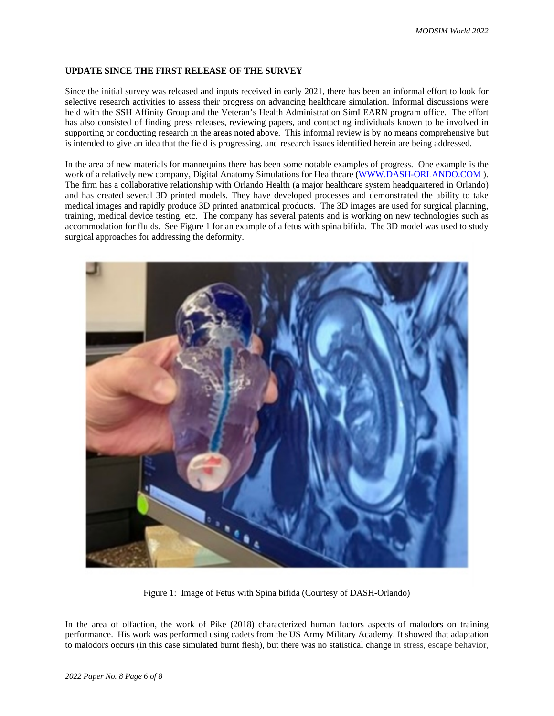# **UPDATE SINCE THE FIRST RELEASE OF THE SURVEY**

Since the initial survey was released and inputs received in early 2021, there has been an informal effort to look for selective research activities to assess their progress on advancing healthcare simulation. Informal discussions were held with the SSH Affinity Group and the Veteran's Health Administration SimLEARN program office. The effort has also consisted of finding press releases, reviewing papers, and contacting individuals known to be involved in supporting or conducting research in the areas noted above. This informal review is by no means comprehensive but is intended to give an idea that the field is progressing, and research issues identified herein are being addressed.

In the area of new materials for mannequins there has been some notable examples of progress. One example is the work of a relatively new company, Digital Anatomy Simulations for Healthcare [\(WWW.DASH-ORLANDO.COM](http://www.dash-orlando.com/)). The firm has a collaborative relationship with Orlando Health (a major healthcare system headquartered in Orlando) and has created several 3D printed models. They have developed processes and demonstrated the ability to take medical images and rapidly produce 3D printed anatomical products. The 3D images are used for surgical planning, training, medical device testing, etc. The company has several patents and is working on new technologies such as accommodation for fluids. See Figure 1 for an example of a fetus with spina bifida. The 3D model was used to study surgical approaches for addressing the deformity.



Figure 1: Image of Fetus with Spina bifida (Courtesy of DASH-Orlando)

In the area of olfaction, the work of Pike (2018) characterized human factors aspects of malodors on training performance. His work was performed using cadets from the US Army Military Academy. It showed that adaptation to malodors occurs (in this case simulated burnt flesh), but there was no statistical change in stress, escape behavior,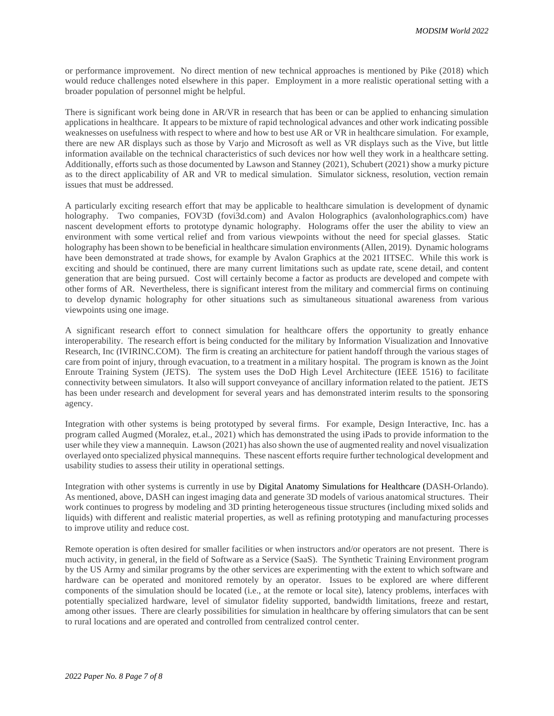or performance improvement. No direct mention of new technical approaches is mentioned by Pike (2018) which would reduce challenges noted elsewhere in this paper. Employment in a more realistic operational setting with a broader population of personnel might be helpful.

There is significant work being done in AR/VR in research that has been or can be applied to enhancing simulation applications in healthcare. It appears to be mixture of rapid technological advances and other work indicating possible weaknesses on usefulness with respect to where and how to best use AR or VR in healthcare simulation. For example, there are new AR displays such as those by Varjo and Microsoft as well as VR displays such as the Vive, but little information available on the technical characteristics of such devices nor how well they work in a healthcare setting. Additionally, efforts such as those documented by Lawson and Stanney (2021), Schubert (2021) show a murky picture as to the direct applicability of AR and VR to medical simulation. Simulator sickness, resolution, vection remain issues that must be addressed.

A particularly exciting research effort that may be applicable to healthcare simulation is development of dynamic holography. Two companies, FOV3D (fovi3d.com) and Avalon Holographics (avalonholographics.com) have nascent development efforts to prototype dynamic holography. Holograms offer the user the ability to view an environment with some vertical relief and from various viewpoints without the need for special glasses. Static holography has been shown to be beneficial in healthcare simulation environments(Allen, 2019). Dynamic holograms have been demonstrated at trade shows, for example by Avalon Graphics at the 2021 IITSEC. While this work is exciting and should be continued, there are many current limitations such as update rate, scene detail, and content generation that are being pursued. Cost will certainly become a factor as products are developed and compete with other forms of AR. Nevertheless, there is significant interest from the military and commercial firms on continuing to develop dynamic holography for other situations such as simultaneous situational awareness from various viewpoints using one image.

A significant research effort to connect simulation for healthcare offers the opportunity to greatly enhance interoperability. The research effort is being conducted for the military by Information Visualization and Innovative Research, Inc (IVIRINC.COM). The firm is creating an architecture for patient handoff through the various stages of care from point of injury, through evacuation, to a treatment in a military hospital. The program is known as the Joint Enroute Training System (JETS). The system uses the DoD High Level Architecture (IEEE 1516) to facilitate connectivity between simulators. It also will support conveyance of ancillary information related to the patient. JETS has been under research and development for several years and has demonstrated interim results to the sponsoring agency.

Integration with other systems is being prototyped by several firms. For example, Design Interactive, Inc. has a program called Augmed (Moralez, et.al., 2021) which has demonstrated the using iPads to provide information to the user while they view a mannequin. Lawson (2021) has also shown the use of augmented reality and novel visualization overlayed onto specialized physical mannequins. These nascent efforts require further technological development and usability studies to assess their utility in operational settings.

Integration with other systems is currently in use by Digital Anatomy Simulations for Healthcare (DASH-Orlando). As mentioned, above, DASH can ingest imaging data and generate 3D models of various anatomical structures. Their work continues to progress by modeling and 3D printing heterogeneous tissue structures (including mixed solids and liquids) with different and realistic material properties, as well as refining prototyping and manufacturing processes to improve utility and reduce cost.

Remote operation is often desired for smaller facilities or when instructors and/or operators are not present. There is much activity, in general, in the field of Software as a Service (SaaS). The Synthetic Training Environment program by the US Army and similar programs by the other services are experimenting with the extent to which software and hardware can be operated and monitored remotely by an operator. Issues to be explored are where different components of the simulation should be located (i.e., at the remote or local site), latency problems, interfaces with potentially specialized hardware, level of simulator fidelity supported, bandwidth limitations, freeze and restart, among other issues. There are clearly possibilities for simulation in healthcare by offering simulators that can be sent to rural locations and are operated and controlled from centralized control center.